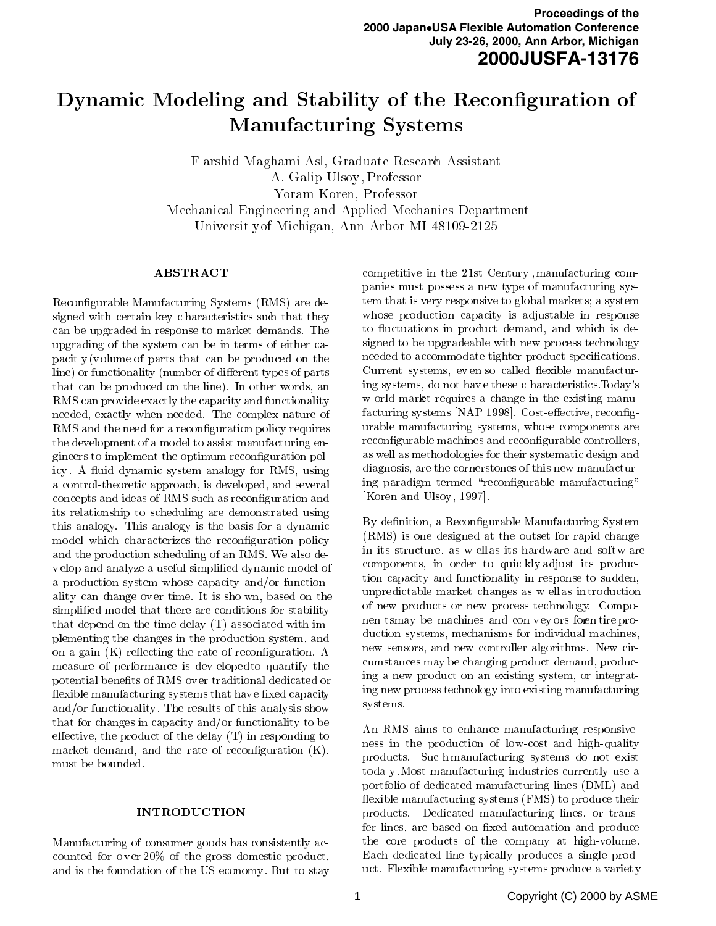# $\mathcal{L}$  , and define the Modeling and Stability of the Reconcility of the Reconcility of the Reconcility of the Reconcility of the Reconcility of the Reconcility of the Reconcility of the Reconcility of the Reconcility o manufacturing Systems and the System of the System of the System of the System of the System of the System of the System of the System of the System of the System of the System of the System of the System of the System of

F arshid Maghami Asl, Graduate Research Assistant A. Galip Ulsoy , Professor Yoram Koren, Professor Mechanical Engineering and Applied Mechanics Department Universit yof Michigan, Ann Arbor MI 48109-2125

# **ABSTRACT**

Reconfigurable Manufacturing Systems (RMS) are designed with certain key c haracteristics such that they can be upgraded in response to market demands. The upgrading of the system can be in terms of either capacit  $y(v$  olume of parts that can be produced on the line) or functionality (number of different types of parts that can be produced on the line). In other words, an RMS can provide exactly the capacity and functionality needed, exactly when needed. The complex nature of RMS and the need for a reconfiguration policy requires the development of a model to assist manufacturing engineers to implement the optimum reconguration policy. A fluid dynamic system analogy for RMS, using a control-theoretic approach, is developed, and several concepts and ideas of RMS such as reconguration and its relationship to scheduling are demonstrated using this analogy. This analogy is the basis for a dynamic model which characterizes the reconfiguration policy and the production scheduling of an RMS. We also dev elop and analyze a useful simplied dynamic model of a production system whose capacity and/or functionality can change ov er time. It is sho wn, based on the simplified model that there are conditions for stability that depend on the time delay (T) associated with implementing the changes in the production system, and on a gain  $(K)$  reflecting the rate of reconfiguration. A measure of performance is dev elopedto quantify the potential benefits of RMS over traditional dedicated or flexible manufacturing systems that have fixed capacity  $\frac{\ln g}{g}$  new  $\frac{\ln g}{g}$  method in the capacity systems. and/or functionality. The results of this analysis show that for changes in capacity and/or functionality to be effective, the product of the delay  $(T)$  in responding to market demand, and the rate of reconfiguration  $(K)$ , must be bounded.

Manufacturing of consumer goods has consistently accounted for ov er 20% of the gross domestic product, and is the foundation of the US economy . But to stay

competitive in the 21st Century ,manufacturing companies must possess a new type of manufacturing system that is very responsive to global markets; a system whose production capacity is adjustable in response to fluctuations in product demand, and which is designed to be upgradeable with new process technology needed to accommodate tighter product specifications. Current systems, ev en so called flexible manufacturing systems, do not hav e these c haracteristics.Today's w orld market requires a change in the existing manu $facturing systems [NAP 1998]$ . Cost-effective, reconfigurable manufacturing systems, whose components are reconfigurable machines and reconfigurable controllers, as well as methodologies for their systematic design and diagnosis, are the cornerstones of this new manufacturing paradigm termed "reconfigurable manufacturing" [Koren and Ulsoy, 1997].

By definition, a Reconfigurable Manufacturing System (RMS) is one designed at the outset for rapid change in its structure, as w ellas its hardware and software components, in order to quic kly adjust its production capacity and functionality in response to sudden, unpredictable market changes as w ellas in troduction of new products or new process technology. Componen tsmay be machines and con v ey ors foren tire production systems, mechanisms for individual machines, new sensors, and new controller algorithms. New circumstances may be changing product demand, producing a new product on an existing system, or integrating new process technology into existing manufacturing systems.

An RMS aims to enhance manufacturing responsiveness in the production of low-cost and high-quality products. Suc hmanufacturing systems do not exist toda y .Most manufacturing industries currently use a portfolio of dedicated manufacturing lines (DML) and flexible manufacturing systems (FMS) to produce their products. Dedicated manufacturing lines, or transfer lines, are based on fixed automation and produce the core products of the company at high-volume. Each dedicated line typically produces a single product. Flexible manufacturing systems produce a variet y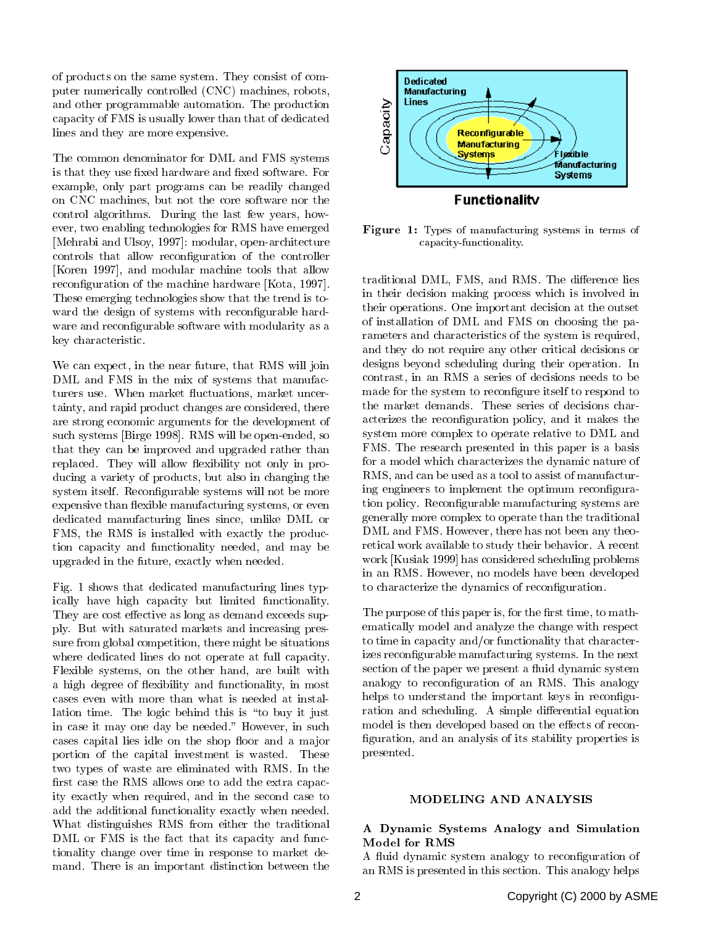of products on the same system. They consist of computer numerically controlled (CNC) machines, robots, and other programmable automation. The production capacity of FMS is usually lower than that of dedicated lines and they are more expensive.

The common denominator for DML and FMS systems is that they use fixed hardware and fixed software. For example, only part programs can be readily changed on CNC machines, but not the core software nor the control algorithms. During the last few years, how ever, two enabling technologies for RMS have emerged [Mehrabi and Ulsoy, 1997]: modular, open-architecture controls that allow reconguration of the controller [Koren 1997], and modular machine tools that allow reconfiguration of the machine hardware [Kota, 1997]. These emerging technologies show that the trend is to ward the design of systems with reconfigurable hardware and reconfigurable software with modularity as a key characteristic.

We can expect, in the near future, that RMS will join DML and FMS in the mix of systems that manufacturers use. When market fluctuations, market uncertainty, and rapid product changes are considered, there are strong economic arguments for the development of such systems [Birge 1998]. RMS will be open-ended, so that they can be improved and upgraded rather than replaced. They will allow flexibility not only in producing a variety of products, but also in changing the system itself. Reconfigurable systems will not be more expensive than flexible manufacturing systems, or even dedicated manufacturing lines since, unlike DML or FMS, the RMS is installed with exactly the production capacity and functionality needed, and may be upgraded in the future, exactly when needed.

Fig. 1 shows that dedicated manufacturing lines typically have high capacity but limited functionality. They are cost effective as long as demand exceeds supply. But with saturated markets and increasing pressure from global competition, there might be situations where dedicated lines do not operate at full capacity. Flexible systems, on the other hand, are built with a high degree of flexibility and functionality, in most cases even with more than what is needed at installation time. The logic behind this is "to buy it just in case it may one day be needed." However, in such cases capital lies idle on the shop floor and a major portion of the capital investment is wasted. These two types of waste are eliminated with RMS. In the first case the RMS allows one to add the extra capacity exactly when required, and in the second case to add the additional functionality exactly when needed. What distinguishes RMS from either the traditional DML or FMS is the fact that its capacity and functionality change over time in response to market demand. There is an important distinction between the



Figure 1: Types of manufacturing systems in terms of capacity-functionality.

traditional DML, FMS, and RMS. The difference lies in their decision making process which is involved in their operations. One important decision at the outset of installation of DML and FMS on choosing the parameters and characteristics of the system is required, and they do not require any other critical decisions or designs beyond scheduling during their operation. In contrast, in an RMS a series of decisions needs to be made for the system to reconfigure itself to respond to the market demands. These series of decisions characterizes the reconguration policy, and it makes the system more complex to operate relative to DML and FMS. The research presented in this paper is a basis for a model which characterizes the dynamic nature of RMS, and can be used as a tool to assist of manufacturing engineers to implement the optimum reconfiguration policy. Reconfigurable manufacturing systems are generally more complex to operate than the traditional DML and FMS. However, there has not been any theoretical work available to study their behavior. A recent work [Kusiak 1999] has considered scheduling problems in an RMS. However, no models have been developed to characterize the dynamics of reconguration.

The purpose of this paper is, for the first time, to mathematically model and analyze the change with respect to time in capacity and/or functionality that characterizes reconfigurable manufacturing systems. In the next section of the paper we present a fluid dynamic system analogy to reconfiguration of an RMS. This analogy helps to understand the important keys in reconfiguration and scheduling. A simple differential equation model is then developed based on the effects of reconfiguration, and an analysis of its stability properties is presented.

# A Dynamic Systems Analogy and Simulation Model for RMS

A fluid dynamic system analogy to reconfiguration of an RMS is presented in this section. This analogy helps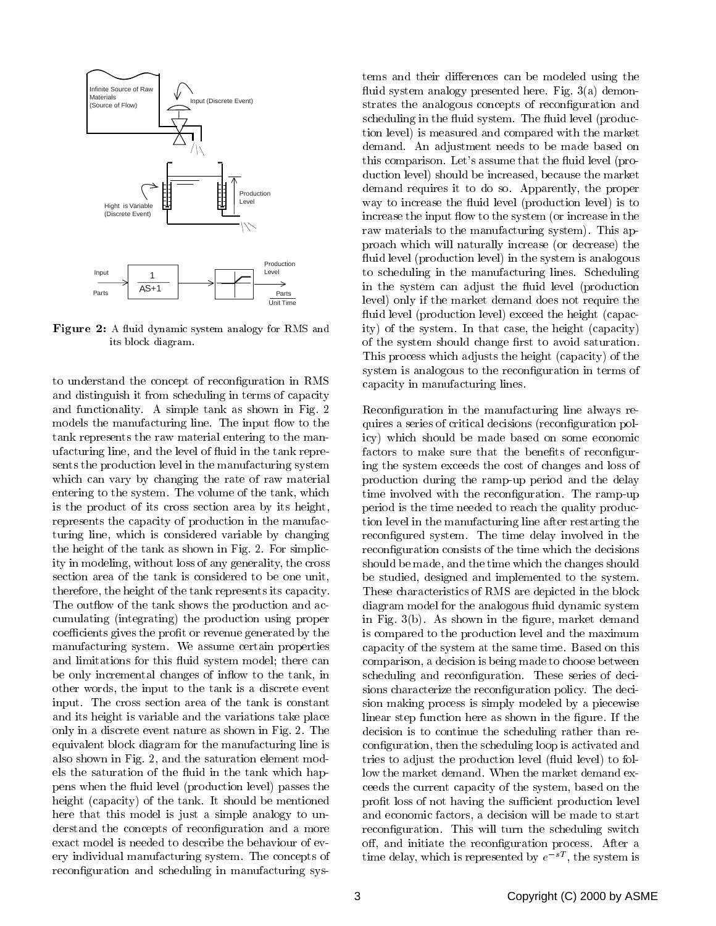

Figure 2: A fluid dynamic system analogy for RMS and its block diagram.

to understand the concept of reconguration in RMS and distinguish it from scheduling in terms of capacity and functionality. A simple tank as shown in Fig. 2 models the manufacturing line. The input flow to the tank represents the raw material entering to the manufacturing line, and the level of 
uid in the tank represents the production level in the manufacturing system which can vary by changing the rate of raw material entering to the system. The volume of the tank, which is the product of its cross section area by its height, represents the capacity of production in the manufacturing line, which is considered variable by changing the height of the tank as shown in Fig. 2. For simplicity in modeling, without loss of any generality, the cross section area of the tank is considered to be one unit, therefore, the height of the tank represents its capacity. The outflow of the tank shows the production and accumulating (integrating) the production using proper coefficients gives the profit or revenue generated by the manufacturing system. We assume certain properties and limitations for this fluid system model; there can be only incremental changes of inflow to the tank, in other words, the input to the tank is a discrete event input. The cross section area of the tank is constant and its height is variable and the variations take place only in a discrete event nature as shown in Fig. 2. The equivalent block diagram for the manufacturing line is also shown in Fig. 2, and the saturation element models the saturation of the fluid in the tank which happens when the fluid level (production level) passes the height (capacity) of the tank. It should be mentioned here that this model is just a simple analogy to understand the concepts of reconfiguration and a more exact model is needed to describe the behaviour of every individual manufacturing system. The concepts of reconfiguration and scheduling in manufacturing systems and their differences can be modeled using the fluid system analogy presented here. Fig.  $3(a)$  demonstrates the analogous concepts of reconguration and scheduling in the fluid system. The fluid level (production level) is measured and compared with the market demand. An adjustment needs to be made based on this comparison. Let's assume that the fluid level (production level) should be increased, because the market demand requires it to do so. Apparently, the proper way to increase the fluid level (production level) is to increase the input flow to the system (or increase in the raw materials to the manufacturing system). This approach which will naturally increase (or decrease) the fluid level (production level) in the system is analogous to scheduling in the manufacturing lines. Scheduling in the system can adjust the fluid level (production level) only if the market demand does not require the fluid level (production level) exceed the height (capacity) of the system. In that case, the height (capacity) of the system should change first to avoid saturation. This process which adjusts the height (capacity) of the system is analogous to the reconfiguration in terms of capacity in manufacturing lines.

Reconfiguration in the manufacturing line always requires a series of critical decisions (reconfiguration policy) which should be made based on some economic factors to make sure that the benefits of reconfiguring the system exceeds the cost of changes and loss of production during the ramp-up period and the delay time involved with the reconfiguration. The ramp-up period is the time needed to reach the quality production level in the manufacturing line after restarting the reconfigured system. The time delay involved in the reconfiguration consists of the time which the decisions should be made, and the time which the changes should be studied, designed and implemented to the system. These characteristics of RMS are depicted in the block diagram model for the analogous fluid dynamic system in Fig.  $3(b)$ . As shown in the figure, market demand is compared to the production level and the maximum capacity of the system at the same time. Based on this comparison, a decision is being made to choose between scheduling and reconfiguration. These series of decisions characterize the reconfiguration policy. The decision making process is simply modeled by a piecewise linear step function here as shown in the figure. If the decision is to continue the scheduling rather than reconfiguration, then the scheduling loop is activated and tries to adjust the production level (fluid level) to follow the market demand. When the market demand exceeds the current capacity of the system, based on the profit loss of not having the sufficient production level and economic factors, a decision will be made to start reconguration. This will turn the scheduling switch off, and initiate the reconfiguration process. After a time delay, which is represented by  $e^{-sT}$ , the system is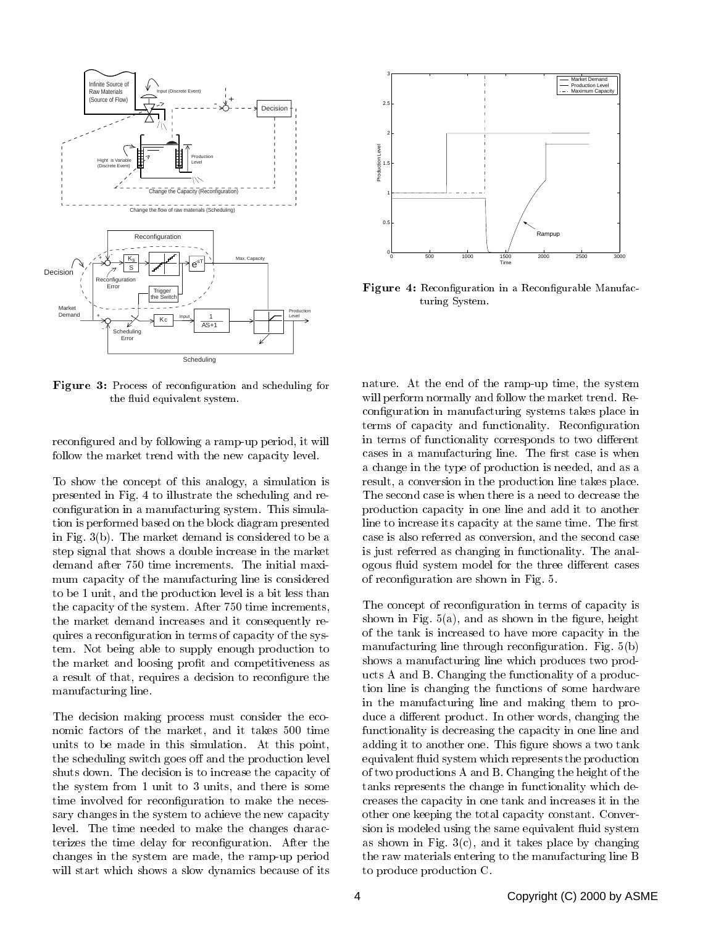



Figure 4: Reconfiguration in a Reconfigurable Manufacturing System.

Figure 3: Process of reconfiguration and scheduling for the fluid equivalent system.

reconfigured and by following a ramp-up period, it will follow the market trend with the new capacity level.

To show the concept of this analogy, a simulation is presented in Fig. 4 to illustrate the scheduling and reconfiguration in a manufacturing system. This simulation is performed based on the block diagram presented in Fig. 3(b). The market demand is considered to be a step signal that shows a double increase in the market demand after 750 time increments. The initial maxi mum capacity of the manufacturing line is considered to be 1 unit, and the production level is a bit less than the capacity of the system. After 750 time increments, the market demand increases and it consequently requires a reconguration in terms of capacity of the system. Not being able to supply enough production to the market and loosing profit and competitiveness as a result of that, requires a decision to recongure the manufacturing line.

The decision making process must consider the economic factors of the market, and it takes 500 time units to be made in this simulation. At this point, the scheduling switch goes off and the production level shuts down. The decision is to increase the capacity of the system from 1 unit to 3 units, and there is some time involved for reconfiguration to make the necessary changes in the system to achieve the new capacity level. The time needed to make the changes characterizes the time delay for reconfiguration. After the changes in the system are made, the ramp-up period will start which shows a slow dynamics because of its

nature. At the end of the ramp-up time, the system will perform normally and follow the market trend. Reconguration in manufacturing systems takes place in terms of capacity and functionality. Reconguration in terms of functionality corresponds to two different cases in a manufacturing line. The first case is when a change in the type of production is needed, and as a result, a conversion in the production line takes place. The second case is when there is a need to decrease the production capacity in one line and add it to another line to increase its capacity at the same time. The first case is also referred as conversion, and the second case is just referred as changing in functionality. The analogous fluid system model for the three different cases of reconguration are shown in Fig. 5.

The concept of reconfiguration in terms of capacity is shown in Fig.  $5(a)$ , and as shown in the figure, height of the tank is increased to have more capacity in the manufacturing line through reconfiguration. Fig.  $5(b)$ shows a manufacturing line which produces two products A and B. Changing the functionality of a production line is changing the functions of some hardware in the manufacturing line and making them to produce a different product. In other words, changing the functionality is decreasing the capacity in one line and adding it to another one. This figure shows a two tank equivalent fluid system which represents the production of two productions A and B. Changing the height of the tanks represents the change in functionality which decreases the capacity in one tank and increases it in the other one keeping the total capacity constant. Conversion is modeled using the same equivalent fluid system as shown in Fig.  $3(c)$ , and it takes place by changing the raw materials entering to the manufacturing line B to produce production C.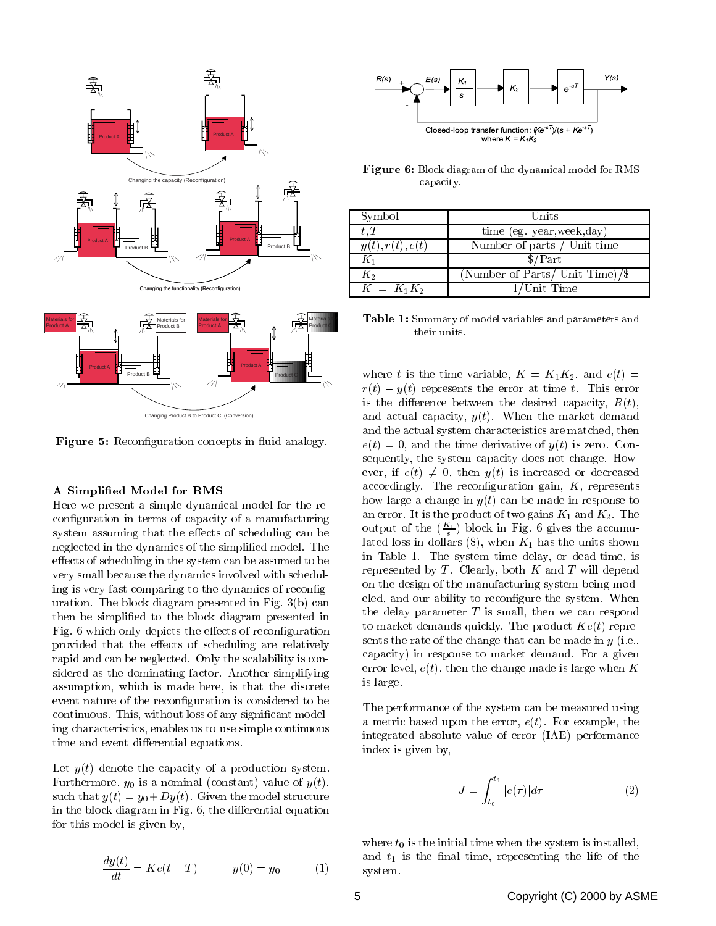

Figure 5: Reconfiguration concepts in fluid analogy.

### A Simplied Model for RMS

Here we present a simple dynamical model for the reconguration in terms of capacity of a manufacturing system assuming that the effects of scheduling can be neglected in the dynamics of the simplified model. The effects of scheduling in the system can be assumed to be very small because the dynamics involved with scheduling is very fast comparing to the dynamics of reconguration. The block diagram presented in Fig. 3(b) can then be simplied to the block diagram presented in Fig. 6 which only depicts the effects of reconfiguration provided that the effects of scheduling are relatively rapid and can be neglected. Only the scalability is considered as the dominating factor. Another simplifying assumption, which is made here, is that the discrete event nature of the reconfiguration is considered to be continuous. This, without loss of any signicant modeling characteristics, enables us to use simple continuous time and event differential equations.

Let  $y(t)$  denote the capacity of a production system. Furthermore,  $y_0$  is a nominal (constant) value of  $y(t)$ , such that  $y(t) = y_0 + Dy(t)$ . Given the model structure in the block diagram in Fig.  $6$ , the differential equation for this model is given by,

$$
\frac{dy(t)}{dt} = Ke(t - T) \qquad \qquad y(0) = y_0 \tag{1}
$$



Figure 6: Block diagram of the dynamical model for RMS capacity.

| Symbol           | Units                             |
|------------------|-----------------------------------|
| $t$ . $T$        | time (eg. year, week, day)        |
| y(t), r(t), e(t) | Number of parts / Unit time       |
| K1               | \$/Part                           |
| $K_2$            | (Number of Parts/ Unit Time)/ $\$ |
| $K = K_1 K_2$    | $1$ /Unit Time                    |

Table 1: Summary of model variables and parameters and their units.

where t is the time variable,  $K = K_1K_2$ , and  $e(t)$  $r(t) = y(t)$  represents the error at time t. This error is the difference between the desired capacity,  $R(t)$ , and actual capacity,  $y(t)$ . When the market demand and the actual system characteristics are matched, then  $e(t) = 0$ , and the time derivative of  $y(t)$  is zero. Consequently, the system capacity does not change. How ever, if  $e(t) \neq 0$ , then  $y(t)$  is increased or decreased accordingly. The reconfiguration gain,  $K$ , represents how large a change in  $y(t)$  can be made in response to an error. It is the product of two gains  $K_1$  and  $K_2$ . The output of the  $(\frac{K_1}{s})$  block in Fig. 6 gives the accumulated loss in dollars  $(\text{\$})$ , when  $K_1$  has the units shown in Table 1. The system time delay, or dead-time, is represented by  $T$ . Clearly, both  $K$  and  $T$  will depend on the design of the manufacturing system being modeled, and our ability to reconfigure the system. When the delay parameter  $T$  is small, then we can respond to market demands quickly. The product  $Ke(t)$  represents the rate of the change that can be made in  $y$  (i.e., capacity) in response to market demand. For a given error level,  $e(t)$ , then the change made is large when K is large.

The performance of the system can be measured using a metric based upon the error,  $e(t)$ . For example, the integrated absolute value of error (IAE) performance index is given by,

$$
J = \int_{t_0}^{t_1} |e(\tau)| d\tau \tag{2}
$$

where  $t_0$  is the initial time when the system is installed, and  $t_1$  is the final time, representing the life of the system.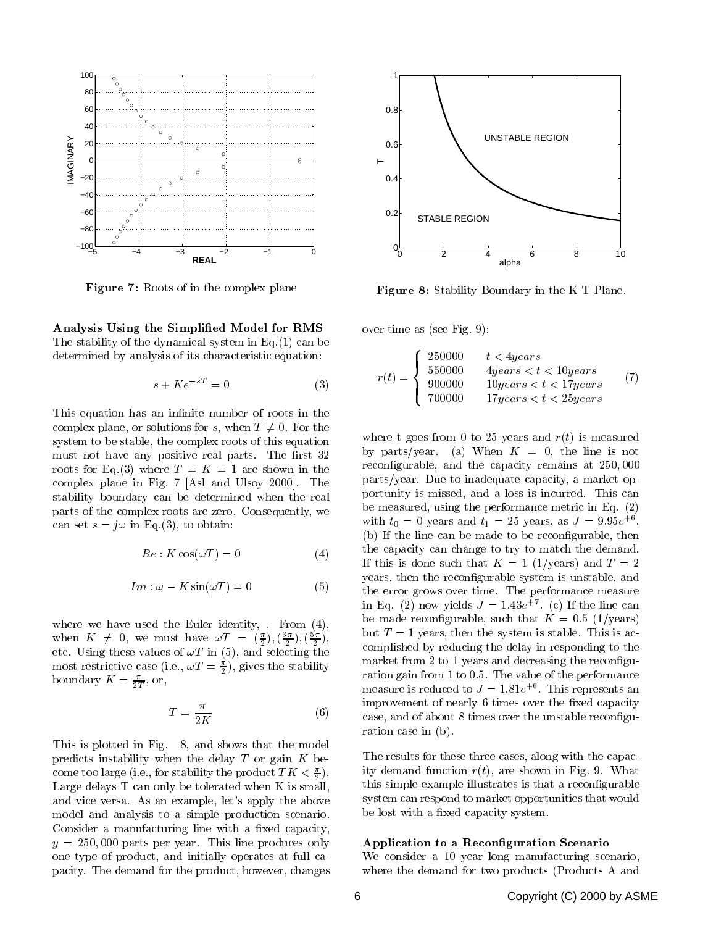

Figure 7: Roots of in the complex plane

Analysis Using the Simplied Model for RMS The stability of the dynamical system in Eq.(1) can be determined by analysis of its characteristic equation:

$$
s + Ke^{-sT} = 0 \tag{3}
$$

This equation has an infinite number of roots in the complex plane, or solutions for s, when  $T \neq 0$ . For the system to be stable, the complex roots of this equation must not have any positive real parts. The first 32 roots for Eq.(3) where  $T = K = 1$  are shown in the complex plane in Fig. 7 [Asl and Ulsoy 2000]. The stability boundary can be determined when the real parts of the complex roots are zero. Consequently, we can set  $s = j\omega$  in Eq.(3), to obtain:

$$
Re: K \cos(\omega T) = 0 \tag{4}
$$

$$
Im: \omega - K\sin(\omega T) = 0 \tag{5}
$$

where we have used the Euler identity, . From (4), when  $K \neq 0$ , we must have  $\omega I = (\frac{1}{2}), (\frac{2}{2})$ , etc. Using these values of  $\alpha = \alpha$ , is and selecting the selection most restrictive case (i.e.,  $\omega I = \frac{1}{2}$ ), gives the stability boundary  $K = \frac{1}{2T}$ , or,

$$
T = \frac{\pi}{2K} \tag{6}
$$

This is plotted in Fig. 8, and shows that the model predicts instability when the delay  $T$  or gain  $K$  become too large (i.e., for stability the product  $I(\mathbf{K}) \leq \frac{1}{2}$ ). Large delays T can only be tolerated when K is small, and vice versa. As an example, let's apply the above model and analysis to a simple production scenario. Consider a manufacturing line with a fixed capacity,  $y = 250,000$  parts per year. This line produces only one type of product, and initially operates at full capacity. The demand for the product, however, changes



Figure 8: Stability Boundary in the K-T Plane.

over time as (see Fig. 9):

$$
r(t) = \begin{cases} 250000 & t < 4years \\ 550000 & 4years < t < 10years \\ 900000 & 10years < t < 17years \\ 700000 & 17years < t < 25years \end{cases} \tag{7}
$$

where t goes from 0 to 25 years and  $r(t)$  is measured by parts/year. (a) When  $K = 0$ , the line is not reconfigurable, and the capacity remains at 250,000 parts/year. Due to inadequate capacity, a market opportunity is missed, and a loss is incurred. This can be measured, using the performance metric in Eq. (2) with  $t_0 = 0$  years and  $t_1 = 25$  years, as  $J = 9.95e^{+6}$ . (b) If the line can be made to be reconfigurable, then the capacity can change to try to match the demand. If this is done such that  $K = 1$  (1/years) and  $T = 2$ years, then the reconfigurable system is unstable, and the error grows over time. The performance measure in Eq. (2) now yields  $J = 1.43e$  (c) if the line can be made reconfigurable, such that  $K = 0.5$  (1/years) but  $T = 1$  years, then the system is stable. This is accomplished by reducing the delay in responding to the market from 2 to 1 years and decreasing the reconfiguration gain from 1 to 0.5. The value of the performance measure is reduced to  $J = 1.81e + 1$  ms represents and improvement of nearly 6 times over the fixed capacity case, and of about 8 times over the unstable reconguration case in (b).

The results for these three cases, along with the capacity demand function  $r(t)$ , are shown in Fig. 9. What this simple example illustrates is that a reconfigurable system can respond to market opportunities that would be lost with a fixed capacity system.

## Application to a Reconfiguration Scenario

We consider a 10 year long manufacturing scenario, where the demand for two products (Products A and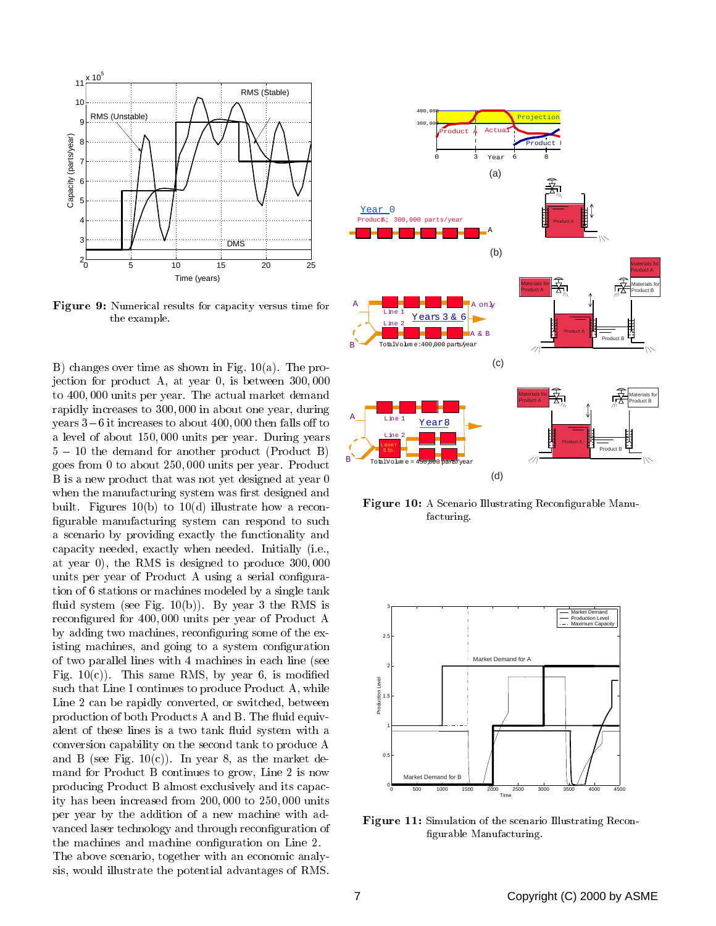

Figure 9: Numerical results for capacity versus time for the example.

B) changes over time as shown in Fig. 10(a). The projection for product A, at year 0, is between 300; 000 to 400; 000 units per year. The actual market demand rapidly increases to 300; 000 in about one year, during years  $3-6$  it increases to about  $400,000$  then falls off to a level of about 150; 000 units per year. During years  $5 - 10$  the demand for another product (Product B) goes from 0 to about 250; 000 units per year. Product B is a new product that was not yet designed at year 0 when the manufacturing system was first designed and built. Figures 10(b) to 10(d) illustrate how a recon figurable manufacturing system can respond to such a scenario by providing exactly the functionality and capacity needed, exactly when needed. Initially (i.e., at year 0), the RMS is designed to produce 300; 000 units per year of Product A using a serial configuration of 6 stations or machines modeled by a single tank fluid system (see Fig.  $10(b)$ ). By year 3 the RMS is recongured for 400; 000 units per year of Product A by adding two machines, reconguring some of the existing machines, and going to a system configuration of two parallel lines with 4 machines in each line (see Fig. 10(c)). This same RMS, by year 6, is modified<br>such that Line 1 continues to produce Product A, while<br>Line 2 can be rapidly converted, or switched, between such that Line 1 continues to produce Product A, while Line 2 can be rapidly converted, or switched, between production of both Products A and B. The fluid equivalent of these lines is a two tank fluid system with a conversion capability on the second tank to produce A and B (see Fig.  $10(c)$ ). In year 8, as the market demand for Product B continues to grow, Line 2 is now producing Product B almost exclusively and its capacity has been increased from 200; 000 to 250; 000 units per year by the addition of a new machine with ad vanced laser technology and through reconfiguration of the machines and machine configuration on Line 2. The above scenario, together with an economic analysis, would illustrate the potential advantages of RMS.



**Figure 10:** A Scenario Illustrating Reconfigurable Manufacturing.



Figure 11: Simulation of the scenario Illustrating Recon figurable Manufacturing.